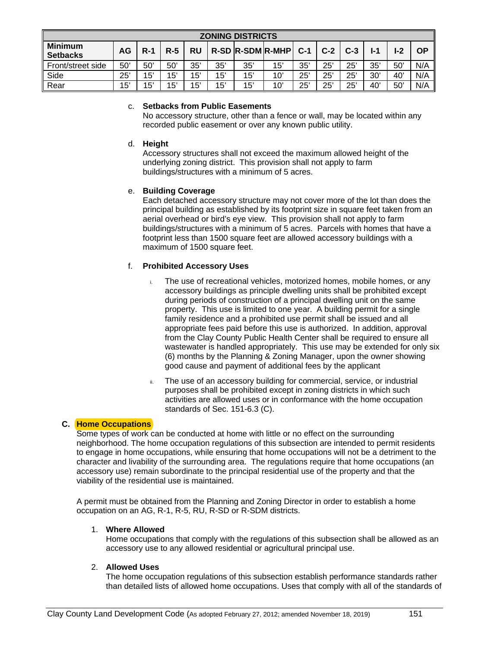| <b>ZONING DISTRICTS</b>           |     |              |       |             |     |     |                        |       |       |       |     |       |           |
|-----------------------------------|-----|--------------|-------|-------------|-----|-----|------------------------|-------|-------|-------|-----|-------|-----------|
| <b>Minimum</b><br><b>Setbacks</b> | AG  | $R-1$        | $R-5$ | RU          |     |     | $R-SD$ $R-SDM$ $R-MHP$ | $C-1$ | $C-2$ | $C-3$ | l-1 | $I-2$ | <b>OP</b> |
| Front/street side                 | 50' | $50^{\circ}$ | 50'   | 35'         | 35' | 35' | 15'                    | 35'   | 25'   | 25'   | 35' | 50'   | N/A       |
| Side                              | 25' | 15'          | 15'   | 15'         | 15' | 15' | 10'                    | 25'   | 25'   | 25'   | 30' | 40'   | N/A       |
| Rear                              | 15' | 15'          | 15'   | $5^{\circ}$ | 15' | 15' | 10'                    | 25'   | 25'   | 25'   | 40' | 50'   | N/A       |

### c. **Setbacks from Public Easements**

No accessory structure, other than a fence or wall, may be located within any recorded public easement or over any known public utility.

### d. **Height**

Accessory structures shall not exceed the maximum allowed height of the underlying zoning district. This provision shall not apply to farm buildings/structures with a minimum of 5 acres.

## e. **Building Coverage**

Each detached accessory structure may not cover more of the lot than does the principal building as established by its footprint size in square feet taken from an aerial overhead or bird's eye view. This provision shall not apply to farm buildings/structures with a minimum of 5 acres. Parcels with homes that have a footprint less than 1500 square feet are allowed accessory buildings with a maximum of 1500 square feet.

## f. **Prohibited Accessory Uses**

- i. The use of recreational vehicles, motorized homes, mobile homes, or any accessory buildings as principle dwelling units shall be prohibited except during periods of construction of a principal dwelling unit on the same property. This use is limited to one year. A building permit for a single family residence and a prohibited use permit shall be issued and all appropriate fees paid before this use is authorized. In addition, approval from the Clay County Public Health Center shall be required to ensure all wastewater is handled appropriately. This use may be extended for only six (6) months by the Planning & Zoning Manager, upon the owner showing good cause and payment of additional fees by the applicant
- ii. The use of an accessory building for commercial, service, or industrial purposes shall be prohibited except in zoning districts in which such activities are allowed uses or in conformance with the home occupation standards of Sec. 151-6.3 (C).

## **C. Home Occupations**

Some types of work can be conducted at home with little or no effect on the surrounding neighborhood. The home occupation regulations of this subsection are intended to permit residents to engage in home occupations, while ensuring that home occupations will not be a detriment to the character and livability of the surrounding area. The regulations require that home occupations (an accessory use) remain subordinate to the principal residential use of the property and that the viability of the residential use is maintained.

A permit must be obtained from the Planning and Zoning Director in order to establish a home occupation on an AG, R-1, R-5, RU, R-SD or R-SDM districts.

#### 1. **Where Allowed**

Home occupations that comply with the regulations of this subsection shall be allowed as an accessory use to any allowed residential or agricultural principal use.

## 2. **Allowed Uses**

The home occupation regulations of this subsection establish performance standards rather than detailed lists of allowed home occupations. Uses that comply with all of the standards of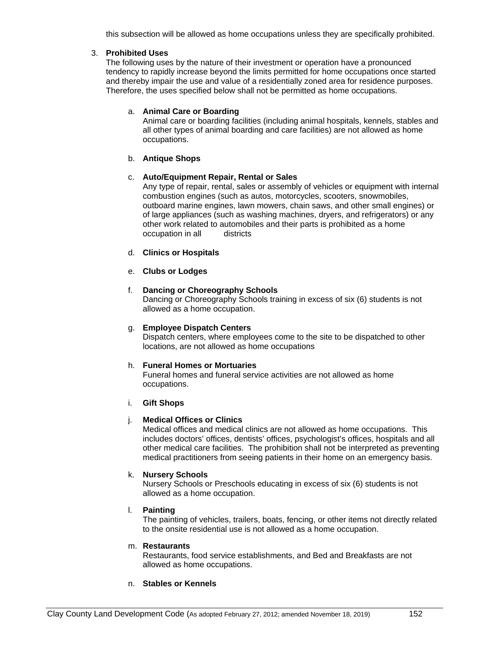this subsection will be allowed as home occupations unless they are specifically prohibited.

## 3. **Prohibited Uses**

The following uses by the nature of their investment or operation have a pronounced tendency to rapidly increase beyond the limits permitted for home occupations once started and thereby impair the use and value of a residentially zoned area for residence purposes. Therefore, the uses specified below shall not be permitted as home occupations.

## a. **Animal Care or Boarding**

Animal care or boarding facilities (including animal hospitals, kennels, stables and all other types of animal boarding and care facilities) are not allowed as home occupations.

### b. **Antique Shops**

## c. **Auto/Equipment Repair, Rental or Sales**

Any type of repair, rental, sales or assembly of vehicles or equipment with internal combustion engines (such as autos, motorcycles, scooters, snowmobiles, outboard marine engines, lawn mowers, chain saws, and other small engines) or of large appliances (such as washing machines, dryers, and refrigerators) or any other work related to automobiles and their parts is prohibited as a home occupation in all districts

## d. **Clinics or Hospitals**

### e. **Clubs or Lodges**

## f. **Dancing or Choreography Schools**

Dancing or Choreography Schools training in excess of six (6) students is not allowed as a home occupation.

### g. **Employee Dispatch Centers**

Dispatch centers, where employees come to the site to be dispatched to other locations, are not allowed as home occupations

## h. **Funeral Homes or Mortuaries**

Funeral homes and funeral service activities are not allowed as home occupations.

#### i. **Gift Shops**

# j. **Medical Offices or Clinics**

Medical offices and medical clinics are not allowed as home occupations. This includes doctors' offices, dentists' offices, psychologist's offices, hospitals and all other medical care facilities. The prohibition shall not be interpreted as preventing medical practitioners from seeing patients in their home on an emergency basis.

## k. **Nursery Schools**

Nursery Schools or Preschools educating in excess of six (6) students is not allowed as a home occupation.

#### l. **Painting**

The painting of vehicles, trailers, boats, fencing, or other items not directly related to the onsite residential use is not allowed as a home occupation.

### m. **Restaurants**

Restaurants, food service establishments, and Bed and Breakfasts are not allowed as home occupations.

## n. **Stables or Kennels**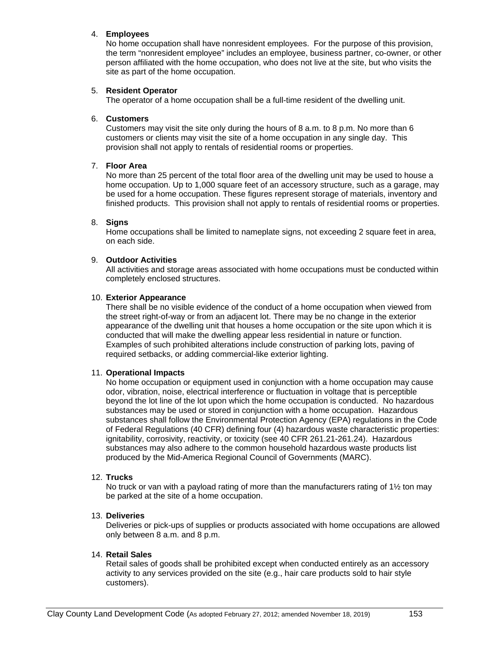### 4. **Employees**

No home occupation shall have nonresident employees. For the purpose of this provision, the term "nonresident employee" includes an employee, business partner, co-owner, or other person affiliated with the home occupation, who does not live at the site, but who visits the site as part of the home occupation.

### 5. **Resident Operator**

The operator of a home occupation shall be a full-time resident of the dwelling unit.

### 6. **Customers**

Customers may visit the site only during the hours of 8 a.m. to 8 p.m. No more than 6 customers or clients may visit the site of a home occupation in any single day. This provision shall not apply to rentals of residential rooms or properties.

### 7. **Floor Area**

No more than 25 percent of the total floor area of the dwelling unit may be used to house a home occupation. Up to 1,000 square feet of an accessory structure, such as a garage, may be used for a home occupation. These figures represent storage of materials, inventory and finished products. This provision shall not apply to rentals of residential rooms or properties.

### 8. **Signs**

Home occupations shall be limited to nameplate signs, not exceeding 2 square feet in area, on each side.

### 9. **Outdoor Activities**

All activities and storage areas associated with home occupations must be conducted within completely enclosed structures.

### 10. **Exterior Appearance**

There shall be no visible evidence of the conduct of a home occupation when viewed from the street right-of-way or from an adjacent lot. There may be no change in the exterior appearance of the dwelling unit that houses a home occupation or the site upon which it is conducted that will make the dwelling appear less residential in nature or function. Examples of such prohibited alterations include construction of parking lots, paving of required setbacks, or adding commercial-like exterior lighting.

#### 11. **Operational Impacts**

No home occupation or equipment used in conjunction with a home occupation may cause odor, vibration, noise, electrical interference or fluctuation in voltage that is perceptible beyond the lot line of the lot upon which the home occupation is conducted. No hazardous substances may be used or stored in conjunction with a home occupation. Hazardous substances shall follow the Environmental Protection Agency (EPA) regulations in the Code of Federal Regulations (40 CFR) defining four (4) hazardous waste characteristic properties: ignitability, corrosivity, reactivity, or toxicity (see 40 CFR 261.21-261.24). Hazardous substances may also adhere to the common household hazardous waste products list produced by the Mid-America Regional Council of Governments (MARC).

#### 12. **Trucks**

No truck or van with a payload rating of more than the manufacturers rating of 1½ ton may be parked at the site of a home occupation.

## 13. **Deliveries**

Deliveries or pick-ups of supplies or products associated with home occupations are allowed only between 8 a.m. and 8 p.m.

#### 14. **Retail Sales**

Retail sales of goods shall be prohibited except when conducted entirely as an accessory activity to any services provided on the site (e.g., hair care products sold to hair style customers).